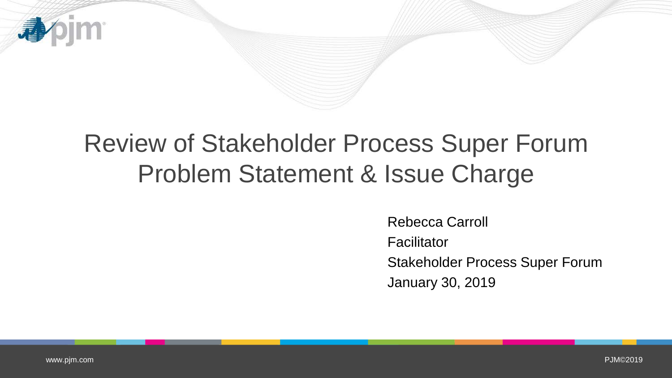

# Review of Stakeholder Process Super Forum Problem Statement & Issue Charge

Rebecca Carroll Facilitator Stakeholder Process Super Forum January 30, 2019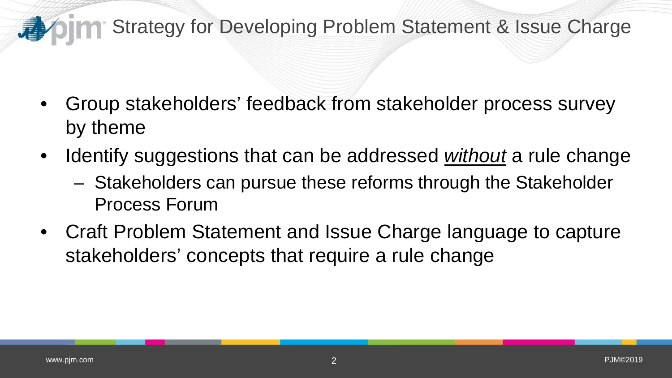#### **Strategy for Developing Problem Statement & Issue Charge** 看

- Group stakeholders' feedback from stakeholder process survey by theme
- Identify suggestions that can be addressed *without* a rule change
	- Stakeholders can pursue these reforms through the Stakeholder Process Forum
- Craft Problem Statement and Issue Charge language to capture stakeholders' concepts that require a rule change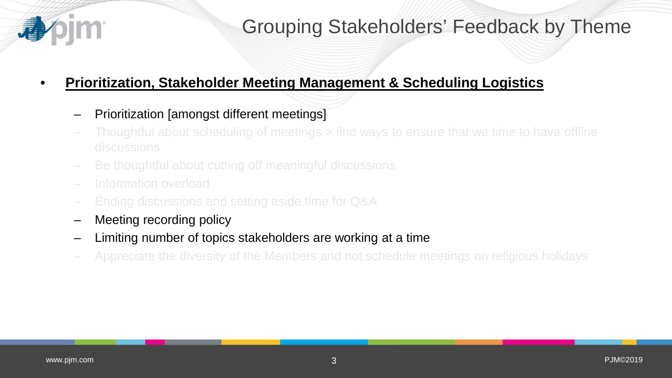

### Grouping Stakeholders' Feedback by Theme

#### • **Prioritization, Stakeholder Meeting Management & Scheduling Logistics**

- Prioritization [amongst different meetings]
- Thoughtful about scheduling of meetings > find ways to ensure that we time to have offline discussions
- Be thoughtful about cutting off meaningful discussions
- Information overload
- Ending discussions and setting aside time for Q&A
- Meeting recording policy
- Limiting number of topics stakeholders are working at a time
- Appreciate the diversity of the Members and not schedule meetings on religious holidays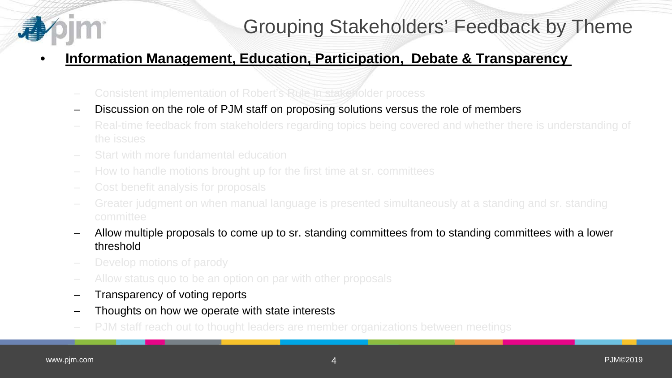## Grouping Stakeholders' Feedback by Theme

### • **Information Management, Education, Participation, Debate & Transparency**

- Consistent implementation of Robert's Rule in stakeholder process
- Discussion on the role of PJM staff on proposing solutions versus the role of members
- Real-time feedback from stakeholders regarding topics being covered and whether there is understanding of the issues
- Start with more fundamental education
- How to handle motions brought up for the first time at sr. committees
- Cost benefit analysis for proposals
- Greater judgment on when manual language is presented simultaneously at a standing and sr. standing committee
- Allow multiple proposals to come up to sr. standing committees from to standing committees with a lower threshold
- Develop motions of parody
- Allow status quo to be an option on par with other proposals
- Transparency of voting reports
- Thoughts on how we operate with state interests
- PJM staff reach out to thought leaders are member organizations between meetings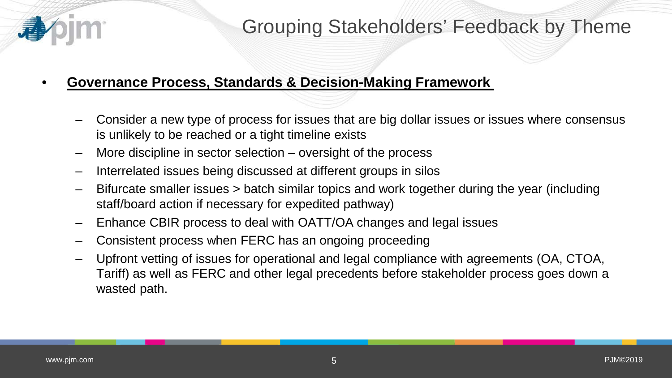

### Grouping Stakeholders' Feedback by Theme

#### • **Governance Process, Standards & Decision-Making Framework**

- Consider a new type of process for issues that are big dollar issues or issues where consensus is unlikely to be reached or a tight timeline exists
- More discipline in sector selection oversight of the process
- Interrelated issues being discussed at different groups in silos
- Bifurcate smaller issues > batch similar topics and work together during the year (including staff/board action if necessary for expedited pathway)
- Enhance CBIR process to deal with OATT/OA changes and legal issues
- Consistent process when FERC has an ongoing proceeding
- Upfront vetting of issues for operational and legal compliance with agreements (OA, CTOA, Tariff) as well as FERC and other legal precedents before stakeholder process goes down a wasted path.